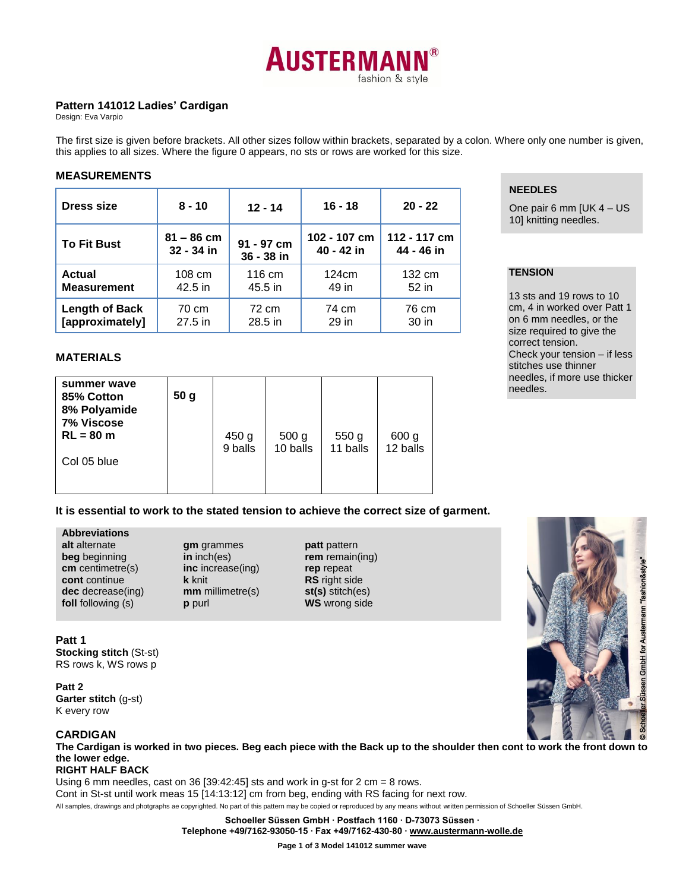

# **Pattern 141012 Ladies' Cardigan**

Design: Eva Varpio

The first size is given before brackets. All other sizes follow within brackets, separated by a colon. Where only one number is given, this applies to all sizes. Where the figure 0 appears, no sts or rows are worked for this size.

## **MEASUREMENTS**

| Dress size            | $8 - 10$     | $12 - 14$  | $16 - 18$    | $20 - 22$    |
|-----------------------|--------------|------------|--------------|--------------|
| <b>To Fit Bust</b>    | $81 - 86$ cm | 91 - 97 cm | 102 - 107 cm | 112 - 117 cm |
|                       | 32 - 34 in   | 36 - 38 in | 40 - 42 in   | 44 - 46 in   |
| <b>Actual</b>         | 108 cm       | 116 cm     | 124cm        | 132 cm       |
| <b>Measurement</b>    | 42.5 in      | 45.5 in    | 49 in        | 52 in        |
| <b>Length of Back</b> | 70 cm        | 72 cm      | 74 cm        | 76 cm        |
| [approximately]       | 27.5 in      | 28.5 in    | 29 in        | 30 in        |

# **NEEDLES**

One pair 6 mm [UK 4 – US 10] knitting needles.

# **TENSION**

13 sts and 19 rows to 10 cm, 4 in worked over Patt 1 on 6 mm needles, or the size required to give the correct tension. Check your tension – if less stitches use thinner needles, if more use thicker needles.

## **MATERIALS**

| summer wave<br>85% Cotton<br>8% Polyamide<br>7% Viscose<br>$RL = 80 m$ | 50 <sub>g</sub> | 450 g<br>9 balls | 500 <sub>g</sub><br>10 balls | 550 <sub>g</sub><br>11 balls | 600 g<br>12 balls |
|------------------------------------------------------------------------|-----------------|------------------|------------------------------|------------------------------|-------------------|
| Col 05 blue                                                            |                 |                  |                              |                              |                   |

# **It is essential to work to the stated tension to achieve the correct size of garment.**

# **Abbreviations**

**alt** alternate **beg** beginning **cm** centimetre(s) **cont** continue **dec** decrease(ing) **foll** following (s)

**gm** grammes **in** inch(es) **inc** increase(ing) **k** knit **mm** millimetre(s) **p** purl

**patt** pattern **rem** remain(ing) **rep** repeat **RS** right side **st(s)** stitch(es) **WS** wrong side



## **Patt 1**

**Stocking stitch** (St-st) RS rows k, WS rows p

**Patt 2 Garter stitch** (g-st) K every row

# **CARDIGAN**

**The Cardigan is worked in two pieces. Beg each piece with the Back up to the shoulder then cont to work the front down to the lower edge.**

**RIGHT HALF BACK**

All samples, drawings and photgraphs ae copyrighted. No part of this pattern may be copied or reproduced by any means without written permission of Schoeller Süssen GmbH. Using 6 mm needles, cast on 36 [39:42:45] sts and work in g-st for 2 cm = 8 rows. Cont in St-st until work meas 15 [14:13:12] cm from beg, ending with RS facing for next row.

**Schoeller Süssen GmbH ∙ Postfach 1160 ∙ D-73073 Süssen ∙**

**Telephone +49/7162-93050-15 ∙ Fax +49/7162-430-80 [∙ www.austermann-wolle.de](http://www.austermann-wolle.de/)**

**Page 1 of 3 Model 141012 summer wave**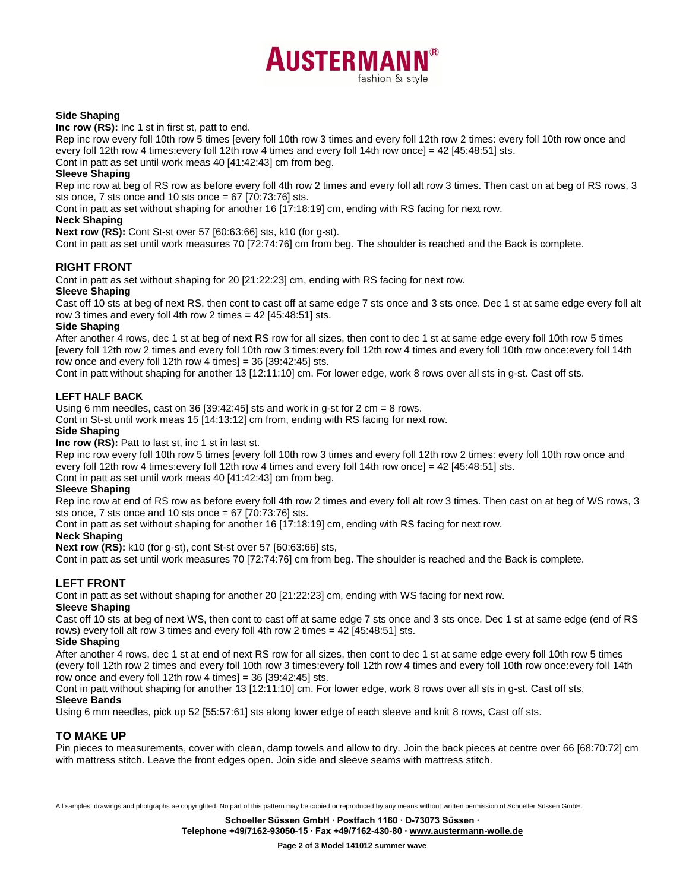

## **Side Shaping**

**Inc row (RS):** Inc 1 st in first st, patt to end.

Rep inc row every foll 10th row 5 times [every foll 10th row 3 times and every foll 12th row 2 times: every foll 10th row once and every foll 12th row 4 times:every foll 12th row 4 times and every foll 14th row once] = 42 [45:48:51] sts.

Cont in patt as set until work meas 40 [41:42:43] cm from beg.

## **Sleeve Shaping**

Rep inc row at beg of RS row as before every foll 4th row 2 times and every foll alt row 3 times. Then cast on at beg of RS rows, 3 sts once, 7 sts once and 10 sts once = 67 [70:73:76] sts.

Cont in patt as set without shaping for another 16 [17:18:19] cm, ending with RS facing for next row.

## **Neck Shaping**

**Next row (RS):** Cont St-st over 57 [60:63:66] sts, k10 (for g-st).

Cont in patt as set until work measures 70 [72:74:76] cm from beg. The shoulder is reached and the Back is complete.

# **RIGHT FRONT**

Cont in patt as set without shaping for 20 [21:22:23] cm, ending with RS facing for next row.

# **Sleeve Shaping**

Cast off 10 sts at beg of next RS, then cont to cast off at same edge 7 sts once and 3 sts once. Dec 1 st at same edge every foll alt row 3 times and every foll 4th row 2 times =  $42$  [ $45:48:51$ ] sts.

## **Side Shaping**

After another 4 rows, dec 1 st at beg of next RS row for all sizes, then cont to dec 1 st at same edge every foll 10th row 5 times [every foll 12th row 2 times and every foll 10th row 3 times:every foll 12th row 4 times and every foll 10th row once:every foll 14th row once and every foll 12th row 4 times] =  $36$  [39:42:45] sts.

Cont in patt without shaping for another 13 [12:11:10] cm. For lower edge, work 8 rows over all sts in g-st. Cast off sts.

## **LEFT HALF BACK**

Using 6 mm needles, cast on 36 [39:42:45] sts and work in g-st for 2 cm = 8 rows.

Cont in St-st until work meas 15 [14:13:12] cm from, ending with RS facing for next row.

## **Side Shaping**

**Inc row (RS):** Patt to last st, inc 1 st in last st.

Rep inc row every foll 10th row 5 times [every foll 10th row 3 times and every foll 12th row 2 times: every foll 10th row once and every foll 12th row 4 times:every foll 12th row 4 times and every foll 14th row once] = 42 [45:48:51] sts.

Cont in patt as set until work meas 40 [41:42:43] cm from beg.

## **Sleeve Shaping**

Rep inc row at end of RS row as before every foll 4th row 2 times and every foll alt row 3 times. Then cast on at beg of WS rows, 3 sts once, 7 sts once and 10 sts once = 67 [70:73:76] sts.

Cont in patt as set without shaping for another 16 [17:18:19] cm, ending with RS facing for next row.

## **Neck Shaping**

**Next row (RS):** k10 (for g-st), cont St-st over 57 [60:63:66] sts,

Cont in patt as set until work measures 70 [72:74:76] cm from beg. The shoulder is reached and the Back is complete.

# **LEFT FRONT**

Cont in patt as set without shaping for another 20 [21:22:23] cm, ending with WS facing for next row.

## **Sleeve Shaping**

Cast off 10 sts at beg of next WS, then cont to cast off at same edge 7 sts once and 3 sts once. Dec 1 st at same edge (end of RS rows) every foll alt row 3 times and every foll 4th row 2 times = 42 [45:48:51] sts.

## **Side Shaping**

After another 4 rows, dec 1 st at end of next RS row for all sizes, then cont to dec 1 st at same edge every foll 10th row 5 times (every foll 12th row 2 times and every foll 10th row 3 times:every foll 12th row 4 times and every foll 10th row once:every foll 14th row once and every foll 12th row 4 times] = 36 [39:42:45] sts.

Cont in patt without shaping for another 13 [12:11:10] cm. For lower edge, work 8 rows over all sts in g-st. Cast off sts.

## **Sleeve Bands**

Using 6 mm needles, pick up 52 [55:57:61] sts along lower edge of each sleeve and knit 8 rows, Cast off sts.

# **TO MAKE UP**

Pin pieces to measurements, cover with clean, damp towels and allow to dry. Join the back pieces at centre over 66 [68:70:72] cm with mattress stitch. Leave the front edges open. Join side and sleeve seams with mattress stitch.

All samples, drawings and photgraphs ae copyrighted. No part of this pattern may be copied or reproduced by any means without written permission of Schoeller Süssen GmbH.